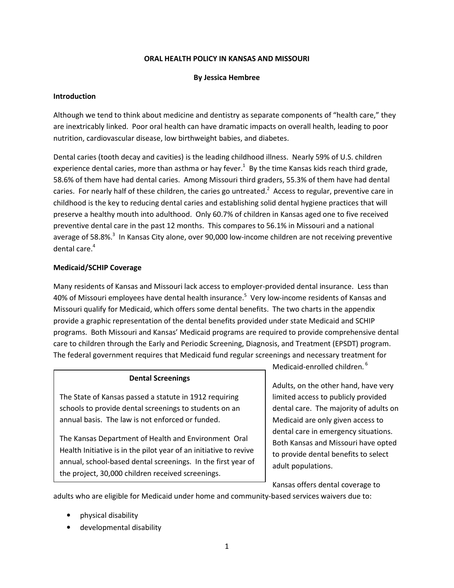#### ORAL HEALTH POLICY IN KANSAS AND MISSOURI

#### By Jessica Hembree

#### Introduction

Although we tend to think about medicine and dentistry as separate components of "health care," they are inextricably linked. Poor oral health can have dramatic impacts on overall health, leading to poor nutrition, cardiovascular disease, low birthweight babies, and diabetes.

Dental caries (tooth decay and cavities) is the leading childhood illness. Nearly 59% of U.S. children experience dental caries, more than asthma or hay fever.<sup>1</sup> By the time Kansas kids reach third grade, 58.6% of them have had dental caries. Among Missouri third graders, 55.3% of them have had dental caries. For nearly half of these children, the caries go untreated.<sup>2</sup> Access to regular, preventive care in childhood is the key to reducing dental caries and establishing solid dental hygiene practices that will preserve a healthy mouth into adulthood. Only 60.7% of children in Kansas aged one to five received preventive dental care in the past 12 months. This compares to 56.1% in Missouri and a national average of 58.8%.<sup>3</sup> In Kansas City alone, over 90,000 low-income children are not receiving preventive dental care.<sup>4</sup>

## Medicaid/SCHIP Coverage

Many residents of Kansas and Missouri lack access to employer-provided dental insurance. Less than 40% of Missouri employees have dental health insurance.<sup>5</sup> Very low-income residents of Kansas and Missouri qualify for Medicaid, which offers some dental benefits. The two charts in the appendix provide a graphic representation of the dental benefits provided under state Medicaid and SCHIP programs. Both Missouri and Kansas' Medicaid programs are required to provide comprehensive dental care to children through the Early and Periodic Screening, Diagnosis, and Treatment (EPSDT) program. The federal government requires that Medicaid fund regular screenings and necessary treatment for

#### Dental Screenings

The State of Kansas passed a statute in 1912 requiring schools to provide dental screenings to students on an annual basis. The law is not enforced or funded.

The Kansas Department of Health and Environment Oral Health Initiative is in the pilot year of an initiative to revive annual, school-based dental screenings. In the first year of the project, 30,000 children received screenings.

Medicaid-enrolled children.<sup>6</sup>

Adults, on the other hand, have very limited access to publicly provided dental care. The majority of adults on Medicaid are only given access to dental care in emergency situations. Both Kansas and Missouri have opted to provide dental benefits to select adult populations.

Kansas offers dental coverage to adults who are eligible for Medicaid under home and community-based services waivers due to:

- physical disability
- developmental disability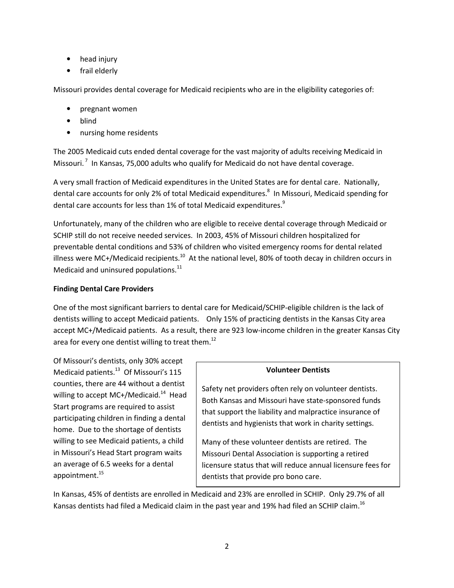- head injury
- frail elderly

Missouri provides dental coverage for Medicaid recipients who are in the eligibility categories of:

- pregnant women
- blind
- nursing home residents

The 2005 Medicaid cuts ended dental coverage for the vast majority of adults receiving Medicaid in Missouri.<sup>7</sup> In Kansas, 75,000 adults who qualify for Medicaid do not have dental coverage.

A very small fraction of Medicaid expenditures in the United States are for dental care. Nationally, dental care accounts for only 2% of total Medicaid expenditures.<sup>8</sup> In Missouri, Medicaid spending for dental care accounts for less than 1% of total Medicaid expenditures.<sup>9</sup>

Unfortunately, many of the children who are eligible to receive dental coverage through Medicaid or SCHIP still do not receive needed services. In 2003, 45% of Missouri children hospitalized for preventable dental conditions and 53% of children who visited emergency rooms for dental related illness were MC+/Medicaid recipients.<sup>10</sup> At the national level, 80% of tooth decay in children occurs in Medicaid and uninsured populations. $^{11}$ 

# Finding Dental Care Providers

One of the most significant barriers to dental care for Medicaid/SCHIP-eligible children is the lack of dentists willing to accept Medicaid patients. Only 15% of practicing dentists in the Kansas City area accept MC+/Medicaid patients. As a result, there are 923 low-income children in the greater Kansas City area for every one dentist willing to treat them.<sup>12</sup>

Of Missouri's dentists, only 30% accept Medicaid patients. $^{13}$  Of Missouri's 115 counties, there are 44 without a dentist willing to accept MC+/Medicaid.<sup>14</sup> Head Start programs are required to assist participating children in finding a dental home. Due to the shortage of dentists willing to see Medicaid patients, a child in Missouri's Head Start program waits an average of 6.5 weeks for a dental appointment.<sup>15</sup>

# Volunteer Dentists

Safety net providers often rely on volunteer dentists. Both Kansas and Missouri have state-sponsored funds that support the liability and malpractice insurance of dentists and hygienists that work in charity settings.

Many of these volunteer dentists are retired. The Missouri Dental Association is supporting a retired licensure status that will reduce annual licensure fees for dentists that provide pro bono care.

In Kansas, 45% of dentists are enrolled in Medicaid and 23% are enrolled in SCHIP. Only 29.7% of all Kansas dentists had filed a Medicaid claim in the past year and 19% had filed an SCHIP claim.<sup>16</sup>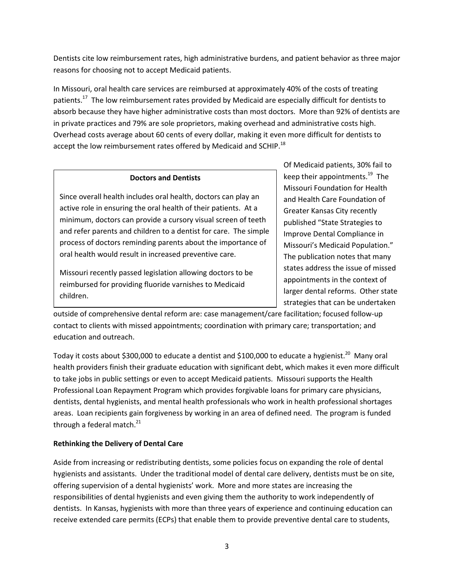Dentists cite low reimbursement rates, high administrative burdens, and patient behavior as three major reasons for choosing not to accept Medicaid patients.

In Missouri, oral health care services are reimbursed at approximately 40% of the costs of treating patients.<sup>17</sup> The low reimbursement rates provided by Medicaid are especially difficult for dentists to absorb because they have higher administrative costs than most doctors. More than 92% of dentists are in private practices and 79% are sole proprietors, making overhead and administrative costs high. Overhead costs average about 60 cents of every dollar, making it even more difficult for dentists to accept the low reimbursement rates offered by Medicaid and SCHIP.<sup>18</sup>

# Doctors and Dentists

Since overall health includes oral health, doctors can play an active role in ensuring the oral health of their patients. At a minimum, doctors can provide a cursory visual screen of teeth and refer parents and children to a dentist for care. The simple process of doctors reminding parents about the importance of oral health would result in increased preventive care.

Missouri recently passed legislation allowing doctors to be reimbursed for providing fluoride varnishes to Medicaid children.

Of Medicaid patients, 30% fail to keep their appointments. $^{19}$  The Missouri Foundation for Health and Health Care Foundation of Greater Kansas City recently published "State Strategies to Improve Dental Compliance in Missouri's Medicaid Population." The publication notes that many states address the issue of missed appointments in the context of larger dental reforms. Other state strategies that can be undertaken

outside of comprehensive dental reform are: case management/care facilitation; focused follow-up contact to clients with missed appointments; coordination with primary care; transportation; and education and outreach.

Today it costs about \$300,000 to educate a dentist and \$100,000 to educate a hygienist.<sup>20</sup> Many oral health providers finish their graduate education with significant debt, which makes it even more difficult to take jobs in public settings or even to accept Medicaid patients. Missouri supports the Health Professional Loan Repayment Program which provides forgivable loans for primary care physicians, dentists, dental hygienists, and mental health professionals who work in health professional shortages areas. Loan recipients gain forgiveness by working in an area of defined need. The program is funded through a federal match. $^{21}$ 

# Rethinking the Delivery of Dental Care

Aside from increasing or redistributing dentists, some policies focus on expanding the role of dental hygienists and assistants. Under the traditional model of dental care delivery, dentists must be on site, offering supervision of a dental hygienists' work. More and more states are increasing the responsibilities of dental hygienists and even giving them the authority to work independently of dentists. In Kansas, hygienists with more than three years of experience and continuing education can receive extended care permits (ECPs) that enable them to provide preventive dental care to students,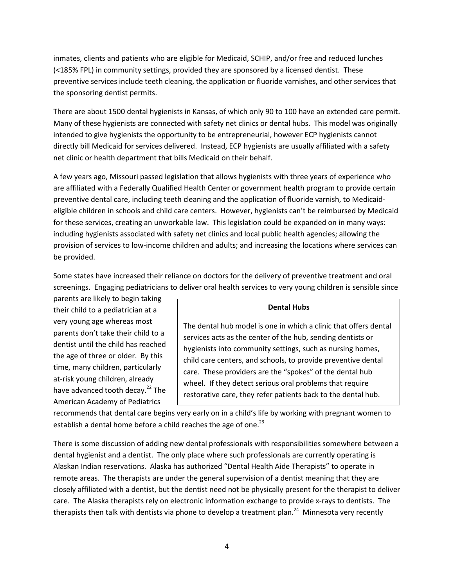inmates, clients and patients who are eligible for Medicaid, SCHIP, and/or free and reduced lunches (<185% FPL) in community settings, provided they are sponsored by a licensed dentist. These preventive services include teeth cleaning, the application or fluoride varnishes, and other services that the sponsoring dentist permits.

There are about 1500 dental hygienists in Kansas, of which only 90 to 100 have an extended care permit. Many of these hygienists are connected with safety net clinics or dental hubs. This model was originally intended to give hygienists the opportunity to be entrepreneurial, however ECP hygienists cannot directly bill Medicaid for services delivered. Instead, ECP hygienists are usually affiliated with a safety net clinic or health department that bills Medicaid on their behalf.

A few years ago, Missouri passed legislation that allows hygienists with three years of experience who are affiliated with a Federally Qualified Health Center or government health program to provide certain preventive dental care, including teeth cleaning and the application of fluoride varnish, to Medicaideligible children in schools and child care centers. However, hygienists can't be reimbursed by Medicaid for these services, creating an unworkable law. This legislation could be expanded on in many ways: including hygienists associated with safety net clinics and local public health agencies; allowing the provision of services to low-income children and adults; and increasing the locations where services can be provided.

Some states have increased their reliance on doctors for the delivery of preventive treatment and oral screenings. Engaging pediatricians to deliver oral health services to very young children is sensible since

parents are likely to begin taking their child to a pediatrician at a very young age whereas most parents don't take their child to a dentist until the child has reached the age of three or older. By this time, many children, particularly at-risk young children, already have advanced tooth decay.<sup>22</sup> The American Academy of Pediatrics

## Dental Hubs

The dental hub model is one in which a clinic that offers dental services acts as the center of the hub, sending dentists or hygienists into community settings, such as nursing homes, child care centers, and schools, to provide preventive dental care. These providers are the "spokes" of the dental hub wheel. If they detect serious oral problems that require restorative care, they refer patients back to the dental hub.

recommends that dental care begins very early on in a child's life by working with pregnant women to establish a dental home before a child reaches the age of one.<sup>23</sup>

There is some discussion of adding new dental professionals with responsibilities somewhere between a dental hygienist and a dentist. The only place where such professionals are currently operating is Alaskan Indian reservations. Alaska has authorized "Dental Health Aide Therapists" to operate in remote areas. The therapists are under the general supervision of a dentist meaning that they are closely affiliated with a dentist, but the dentist need not be physically present for the therapist to deliver care. The Alaska therapists rely on electronic information exchange to provide x-rays to dentists. The therapists then talk with dentists via phone to develop a treatment plan.<sup>24</sup> Minnesota very recently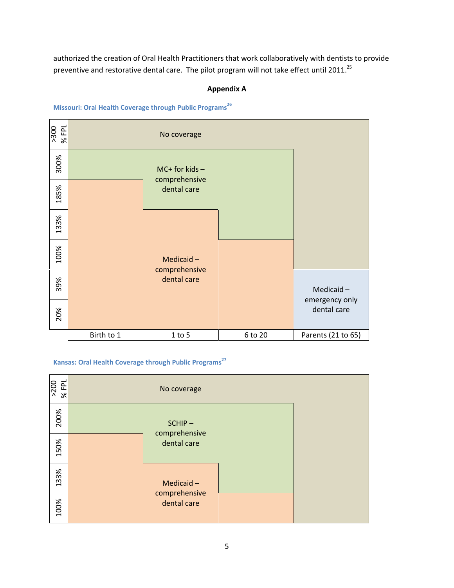authorized the creation of Oral Health Practitioners that work collaboratively with dentists to provide preventive and restorative dental care. The pilot program will not take effect until 2011.<sup>25</sup>

## Appendix A

## Missouri: Oral Health Coverage through Public Programs<sup>26</sup>



## Kansas: Oral Health Coverage through Public Programs<sup>27</sup>

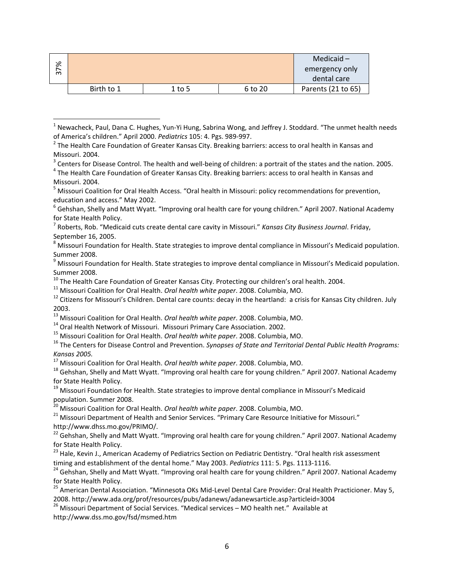| ৯ৎ     |            |          |         | Medicaid $-$       |
|--------|------------|----------|---------|--------------------|
| ∼<br>ო |            |          |         | emergency only     |
|        |            |          |         | dental care        |
|        | Birth to 1 | $1$ to 5 | 6 to 20 | Parents (21 to 65) |

<sup>&</sup>lt;sup>1</sup> Newacheck, Paul, Dana C. Hughes, Yun-Yi Hung, Sabrina Wong, and Jeffrey J. Stoddard. "The unmet health needs of America's children." April 2000. Pediatrics 105: 4. Pgs. 989-997.

- $3$  Centers for Disease Control. The health and well-being of children: a portrait of the states and the nation. 2005.
- <sup>4</sup> The Health Care Foundation of Greater Kansas City. Breaking barriers: access to oral health in Kansas and Missouri. 2004.

<sup>8</sup> Missouri Foundation for Health. State strategies to improve dental compliance in Missouri's Medicaid population. Summer 2008.

 $^{10}$  The Health Care Foundation of Greater Kansas City. Protecting our children's oral health. 2004.

 $11$  Missouri Coalition for Oral Health. Oral health white paper. 2008. Columbia, MO.

<sup>13</sup> Missouri Coalition for Oral Health. Oral health white paper. 2008. Columbia, MO.

<sup>14</sup> Oral Health Network of Missouri. Missouri Primary Care Association. 2002.

 $\overline{a}$ 

<sup>15</sup> Missouri Coalition for Oral Health. Oral health white paper. 2008. Columbia, MO.

 $16$  The Centers for Disease Control and Prevention. Synopses of State and Territorial Dental Public Health Programs: Kansas 2005.

 $17$  Missouri Coalition for Oral Health. Oral health white paper. 2008. Columbia, MO.

<sup>18</sup> Gehshan, Shelly and Matt Wyatt. "Improving oral health care for young children." April 2007. National Academy for State Health Policy.

<sup>19</sup> Missouri Foundation for Health. State strategies to improve dental compliance in Missouri's Medicaid population. Summer 2008.

<sup>20</sup> Missouri Coalition for Oral Health. *Oral health white paper*. 2008. Columbia, MO.

<sup>21</sup> Missouri Department of Health and Senior Services. "Primary Care Resource Initiative for Missouri." http://www.dhss.mo.gov/PRIMO/.

22 Gehshan, Shelly and Matt Wyatt. "Improving oral health care for young children." April 2007. National Academy for State Health Policy.

<sup>23</sup> Hale, Kevin J., American Academy of Pediatrics Section on Pediatric Dentistry. "Oral health risk assessment timing and establishment of the dental home." May 2003. Pediatrics 111: 5. Pgs. 1113-1116.

<sup>24</sup> Gehshan, Shelly and Matt Wyatt. "Improving oral health care for young children." April 2007. National Academy for State Health Policy.

<sup>25</sup> American Dental Association. "Minnesota OKs Mid-Level Dental Care Provider: Oral Health Practicioner. May 5, 2008. http://www.ada.org/prof/resources/pubs/adanews/adanewsarticle.asp?articleid=3004

<sup>26</sup> Missouri Department of Social Services. "Medical services – MO health net." Available at http://www.dss.mo.gov/fsd/msmed.htm

 $^2$  The Health Care Foundation of Greater Kansas City. Breaking barriers: access to oral health in Kansas and Missouri. 2004.

<sup>&</sup>lt;sup>5</sup> Missouri Coalition for Oral Health Access. "Oral health in Missouri: policy recommendations for prevention, education and access." May 2002.

<sup>&</sup>lt;sup>6</sup> Gehshan, Shelly and Matt Wyatt. "Improving oral health care for young children." April 2007. National Academy for State Health Policy.

<sup>&</sup>lt;sup>7</sup> Roberts, Rob. "Medicaid cuts create dental care cavity in Missouri." Kansas City Business Journal. Friday, September 16, 2005.

<sup>&</sup>lt;sup>9</sup> Missouri Foundation for Health. State strategies to improve dental compliance in Missouri's Medicaid population. Summer 2008.

 $12$  Citizens for Missouri's Children. Dental care counts: decay in the heartland: a crisis for Kansas City children. July 2003.